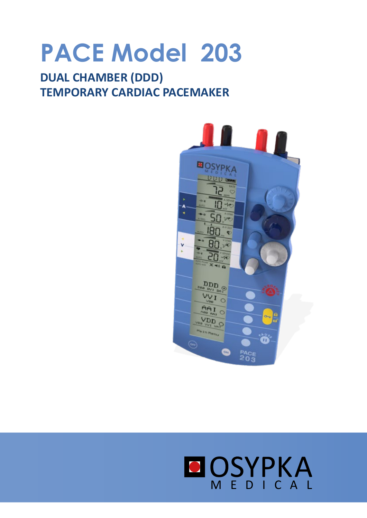## **PACE Model 203**

## **DUAL CHAMBER (DDD) TEMPORARY CARDIAC PACEMAKER**